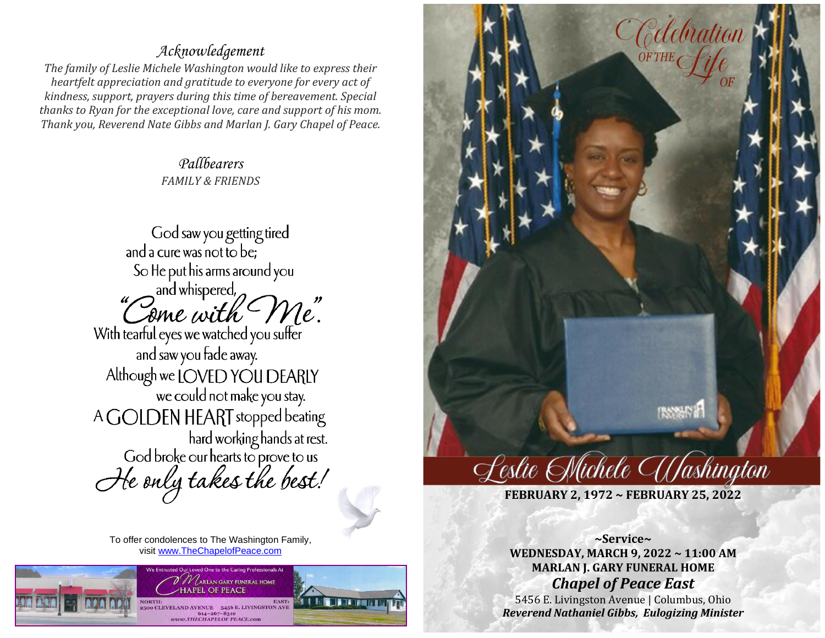## *Acknowledgement*

*The family of Leslie Michele Washington would like to express their heartfelt appreciation and gratitude to everyone for every act of kindness, support, prayers during this time of bereavement. Special thanks to Ryan for the exceptional love, care and support of his mom. Thank you, Reverend Nate Gibbs and Marlan J. Gary Chapel of Peace.*

> *Pallbearers FAMILY & FRIENDS*

God saw you getting tired and a cure was not to be; So He put his arms around you "Come with Me" With tearful eyes we watched you suffer and saw you fade away. Although we LOVED YOU DEARLY we could not make you stay. A GOLDEN HEART stopped beating hard working hands at rest.<br>God broke our hearts to prove to us He only takes the best!

To offer condolences to The Washington Family, visit [www.TheChapelofPeace.com](http://www.thechapelofpeace.com/)





**FEBRUARY 2, 1972 ~ FEBRUARY 25, 2022**

**~Service~ WEDNESDAY, MARCH 9, 2022 ~ 11:00 AM MARLAN J. GARY FUNERAL HOME**  *Chapel of Peace East* 

5456 E. Livingston Avenue | Columbus, Ohio *Reverend Nathaniel Gibbs, Eulogizing Minister*